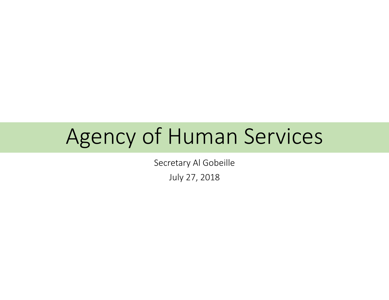# Agency of Human Services

Secretary Al Gobeille

July 27, 2018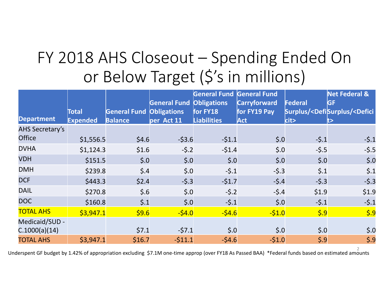# FY 2018 AHS Closeout – Spending Ended On or Below Target (\$'s in millions)

|                        |                 |                         | <b>General Fund</b> | <b>General Fund General Fund</b><br><b>Obligations</b> | <b>Carryforward</b>   | Federal                 | <b>Net Federal &amp;</b><br><b>GF</b>                  |
|------------------------|-----------------|-------------------------|---------------------|--------------------------------------------------------|-----------------------|-------------------------|--------------------------------------------------------|
|                        | Total           | <b>General Fund</b>     | <b>Obligations</b>  | for FY18                                               | for FY19 Pay          |                         | Surplus/ <defisurplus <defici<="" th=""></defisurplus> |
| <b>Department</b>      | <b>Expended</b> | <b>Balance</b>          | per Act 11          | <b>Liabilities</b>                                     | <b>Act</b>            | $c$ it>                 |                                                        |
| <b>AHS Secretary's</b> |                 |                         |                     |                                                        |                       |                         |                                                        |
| <b>Office</b>          | \$1,556.5       | \$4.6                   | $-53.6$             | $-51.1$                                                | $\boldsymbol{\xi}$ .0 | $-5.1$                  | $-5.1$                                                 |
| <b>DVHA</b>            | \$1,124.3       | \$1.6                   | $-5.2$              | $-51.4$                                                | $\boldsymbol{\xi}$ .0 | $-5.5$                  | $-5.5$                                                 |
| <b>VDH</b>             | \$151.5         | \$.0                    | \$.0                | $\boldsymbol{\xi}$ .0                                  | \$.0                  | $\boldsymbol{\xi}$ .0   | $\dot{\mathsf{S}}.0$                                   |
| <b>DMH</b>             | \$239.8         | $\frac{2}{5}$ .4        | \$.0                | $-5.1$                                                 | $-5.3$                | $\zeta$ .1              | $\zeta$ .1                                             |
| <b>DCF</b>             | \$443.3         | \$2.4                   | $-5.3$              | $-51.7$                                                | $-5.4$                | $-5.3$                  | $-5.3$                                                 |
| <b>DAIL</b>            | \$270.8         | \$.6                    | \$.0                | $-5.2$                                                 | $-5.4$                | \$1.9                   | \$1.9                                                  |
| <b>DOC</b>             | \$160.8         | $\boldsymbol{\zeta}$ .1 | \$.0                | $-5.1$                                                 | \$.0                  | $-5.1$                  | $-5.1$                                                 |
| <b>TOTAL AHS</b>       | \$3,947.1       | \$9.6                   | $-54.0$             | $-54.6$                                                | $-51.0$               | $\vert$ \$.9            | $\frac{1}{5.9}$                                        |
| Medicaid/SUD -         |                 |                         |                     |                                                        |                       |                         |                                                        |
| C.1000(a)(14)          |                 | \$7.1                   | $-57.1$             | $\boldsymbol{\xi}$ .0                                  | $\boldsymbol{\xi}$ .0 | $\boldsymbol{\xi}$ .0   | $\boldsymbol{\xi}$ .0                                  |
| <b>TOTAL AHS</b>       | \$3,947.1       | \$16.7                  | $-511.1$            | $-54.6$                                                | $-51.0$               | $\boldsymbol{\zeta}$ .9 | $\boldsymbol{\xi}$ .9                                  |

2 Underspent GF budget by 1.42% of appropriation excluding \$7.1M one‐time approp (over FY18 As Passed BAA) \*Federal funds based on estimated amounts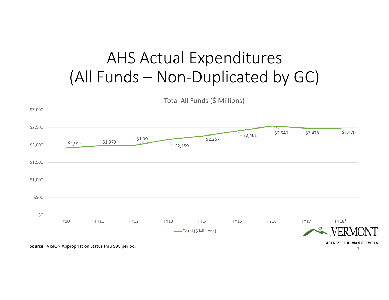### AHS Actual Expenditures (All Funds – Non‐Duplicated by GC)



3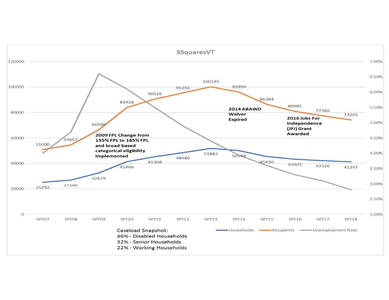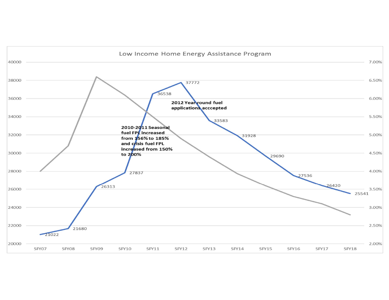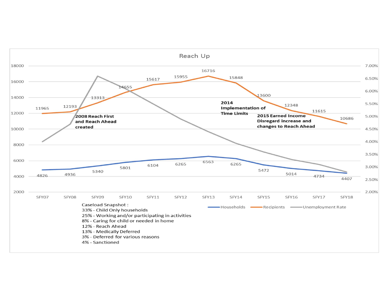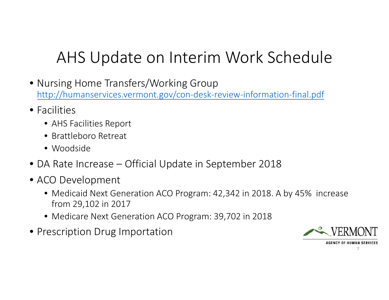## AHS Update on Interim Work Schedule

- Nursing Home Transfers/Working Group http://humanservices.vermont.gov/con‐desk‐review‐information‐final.pdf
- Facilities
	- AHS Facilities Report
	- Brattleboro Retreat
	- Woodside
- DA Rate Increase Official Update in September 2018
- ACO Development
	- Medicaid Next Generation ACO Program: 42,342 in 2018. A by 45% increase from 29,102 in 2017
	- Medicare Next Generation ACO Program: 39,702 in 2018
- Prescription Drug Importation



**AGENCY OF HUMAN SERVICES** 

7